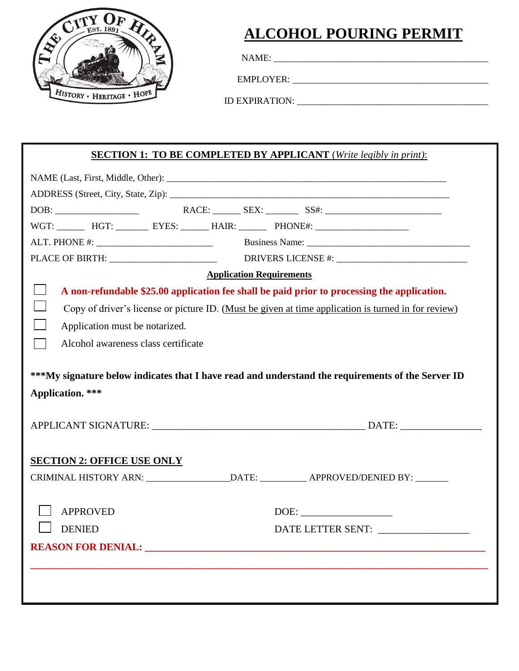

## **ALCOHOL POURING PERMIT**

j

NAME: \_\_\_\_\_\_\_\_\_\_\_\_\_\_\_\_\_\_\_\_\_\_\_\_\_\_\_\_\_\_\_\_\_\_\_\_\_\_\_\_\_\_\_\_\_\_

EMPLOYER:

ID EXPIRATION: \_\_\_\_\_\_\_\_\_\_\_\_\_\_\_\_\_\_\_\_\_\_\_\_\_\_\_\_\_\_\_\_\_\_\_\_\_\_\_\_\_

## **SECTION 1: TO BE COMPLETED BY APPLICANT** (*Write legibly in print)*:

| WGT: HGT: EYES: _______ HAIR: _______ PHONE#: ___________________________________                                            |
|------------------------------------------------------------------------------------------------------------------------------|
|                                                                                                                              |
|                                                                                                                              |
| <b>Application Requirements</b>                                                                                              |
| A non-refundable \$25.00 application fee shall be paid prior to processing the application.                                  |
| Copy of driver's license or picture ID. (Must be given at time application is turned in for review)                          |
| Application must be notarized.                                                                                               |
| Alcohol awareness class certificate                                                                                          |
| ***My signature below indicates that I have read and understand the requirements of the Server ID<br><b>Application.</b> *** |
| <b>SECTION 2: OFFICE USE ONLY</b>                                                                                            |
|                                                                                                                              |
| <b>APPROVED</b><br><b>DENIED</b><br>DATE LETTER SENT:                                                                        |
|                                                                                                                              |